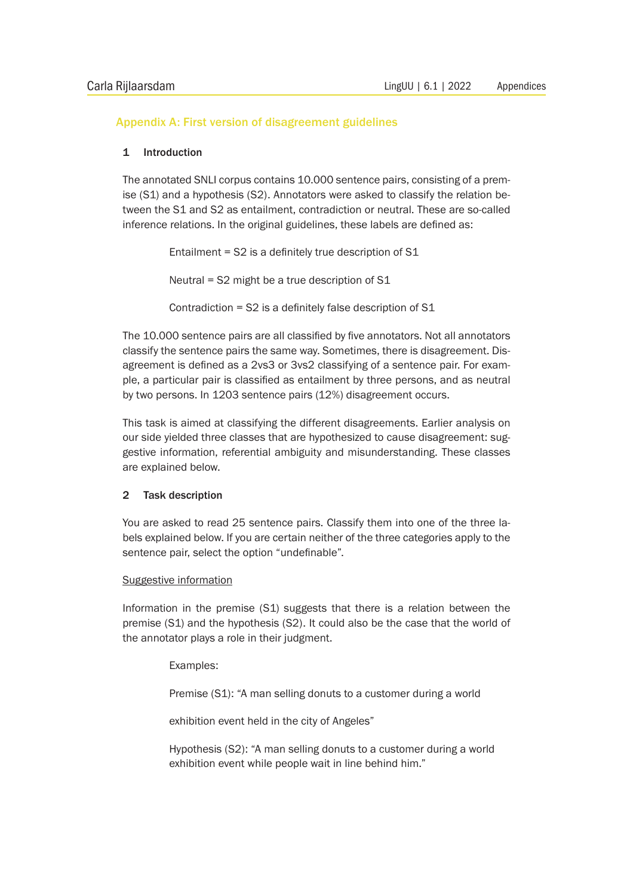# Appendix A: First version of disagreement guidelines

## 1 Introduction

The annotated SNLI corpus contains 10.000 sentence pairs, consisting of a premise (S1) and a hypothesis (S2). Annotators were asked to classify the relation between the S1 and S2 as entailment, contradiction or neutral. These are so-called inference relations. In the original guidelines, these labels are defined as:

> Entailment =  $S2$  is a definitely true description of  $S1$ Neutral = S2 might be a true description of S1

Contradiction = S2 is a definitely false description of S1

The 10.000 sentence pairs are all classified by five annotators. Not all annotators classify the sentence pairs the same way. Sometimes, there is disagreement. Disagreement is defined as a 2vs3 or 3vs2 classifying of a sentence pair. For example, a particular pair is classified as entailment by three persons, and as neutral by two persons. In 1203 sentence pairs (12%) disagreement occurs.

This task is aimed at classifying the different disagreements. Earlier analysis on our side yielded three classes that are hypothesized to cause disagreement: suggestive information, referential ambiguity and misunderstanding. These classes are explained below.

## 2 Task description

You are asked to read 25 sentence pairs. Classify them into one of the three labels explained below. If you are certain neither of the three categories apply to the sentence pair, select the option "undefinable".

## Suggestive information

Information in the premise (S1) suggests that there is a relation between the premise (S1) and the hypothesis (S2). It could also be the case that the world of the annotator plays a role in their judgment.

## Examples:

Premise (S1): "A man selling donuts to a customer during a world

exhibition event held in the city of Angeles"

 Hypothesis (S2): "A man selling donuts to a customer during a world exhibition event while people wait in line behind him."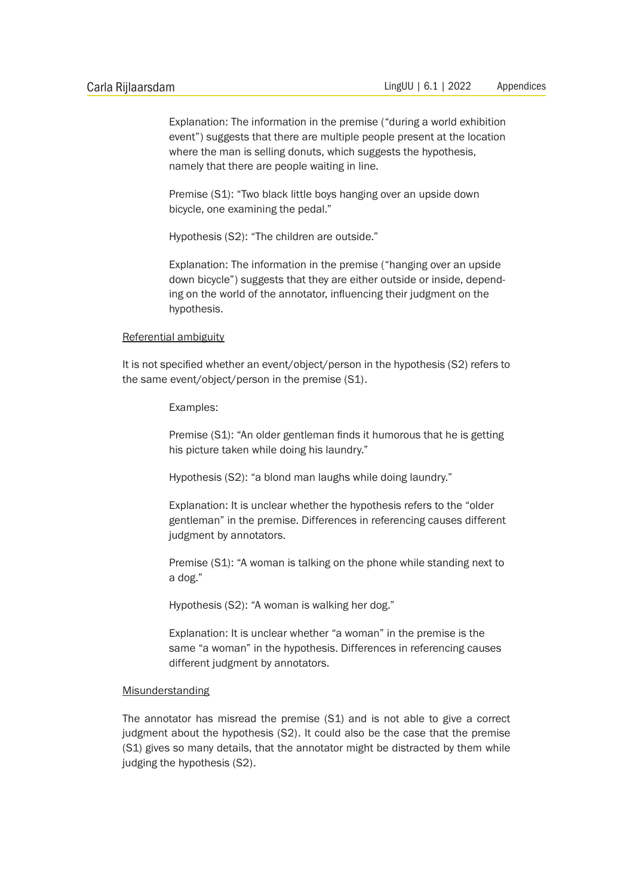Explanation: The information in the premise ("during a world exhibition event") suggests that there are multiple people present at the location where the man is selling donuts, which suggests the hypothesis, namely that there are people waiting in line.

Premise (S1): "Two black little boys hanging over an upside down bicycle, one examining the pedal."

Hypothesis (S2): "The children are outside."

 Explanation: The information in the premise ("hanging over an upside down bicycle") suggests that they are either outside or inside, depend ing on the world of the annotator, influencing their judgment on the hypothesis.

#### Referential ambiguity

It is not specified whether an event/object/person in the hypothesis (S2) refers to the same event/object/person in the premise (S1).

Examples:

 Premise (S1): "An older gentleman finds it humorous that he is getting his picture taken while doing his laundry."

Hypothesis (S2): "a blond man laughs while doing laundry."

 Explanation: It is unclear whether the hypothesis refers to the "older gentleman" in the premise. Differences in referencing causes different judgment by annotators.

 Premise (S1): "A woman is talking on the phone while standing next to a dog."

Hypothesis (S2): "A woman is walking her dog."

 Explanation: It is unclear whether "a woman" in the premise is the same "a woman" in the hypothesis. Differences in referencing causes different judgment by annotators.

#### Misunderstanding

The annotator has misread the premise (S1) and is not able to give a correct judgment about the hypothesis (S2). It could also be the case that the premise (S1) gives so many details, that the annotator might be distracted by them while judging the hypothesis (S2).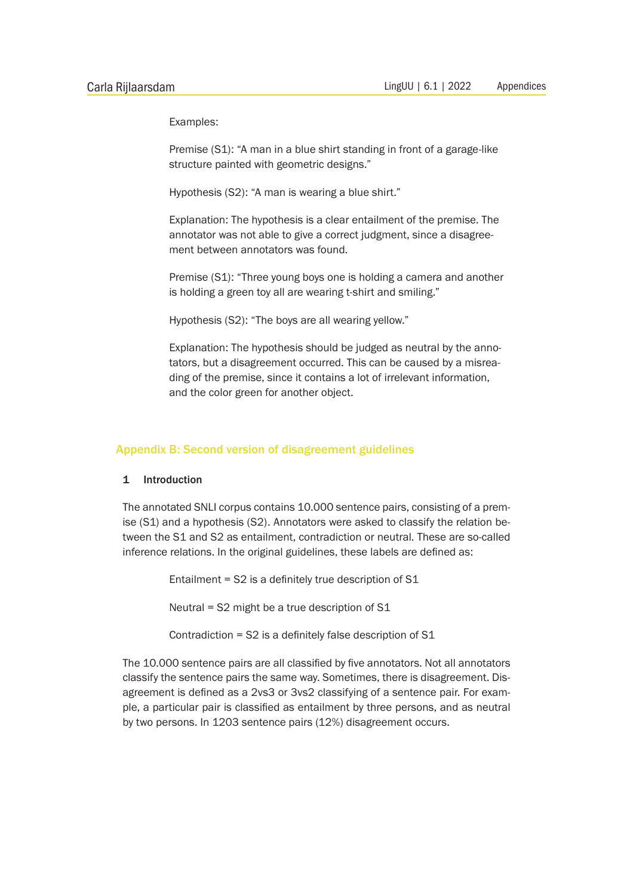Examples:

 Premise (S1): "A man in a blue shirt standing in front of a garage-like structure painted with geometric designs."

Hypothesis (S2): "A man is wearing a blue shirt."

 Explanation: The hypothesis is a clear entailment of the premise. The annotator was not able to give a correct judgment, since a disagree ment between annotators was found.

 Premise (S1): "Three young boys one is holding a camera and another is holding a green toy all are wearing t-shirt and smiling."

Hypothesis (S2): "The boys are all wearing yellow."

 Explanation: The hypothesis should be judged as neutral by the anno tators, but a disagreement occurred. This can be caused by a misrea ding of the premise, since it contains a lot of irrelevant information, and the color green for another object.

#### Appendix B: Second version of disagreement guidelines

#### 1 Introduction

The annotated SNLI corpus contains 10.000 sentence pairs, consisting of a premise (S1) and a hypothesis (S2). Annotators were asked to classify the relation between the S1 and S2 as entailment, contradiction or neutral. These are so-called inference relations. In the original guidelines, these labels are defined as:

Entailment =  $S2$  is a definitely true description of  $S1$ 

Neutral = S2 might be a true description of S1

Contradiction = S2 is a definitely false description of S1

The 10.000 sentence pairs are all classified by five annotators. Not all annotators classify the sentence pairs the same way. Sometimes, there is disagreement. Disagreement is defined as a 2vs3 or 3vs2 classifying of a sentence pair. For example, a particular pair is classified as entailment by three persons, and as neutral by two persons. In 1203 sentence pairs (12%) disagreement occurs.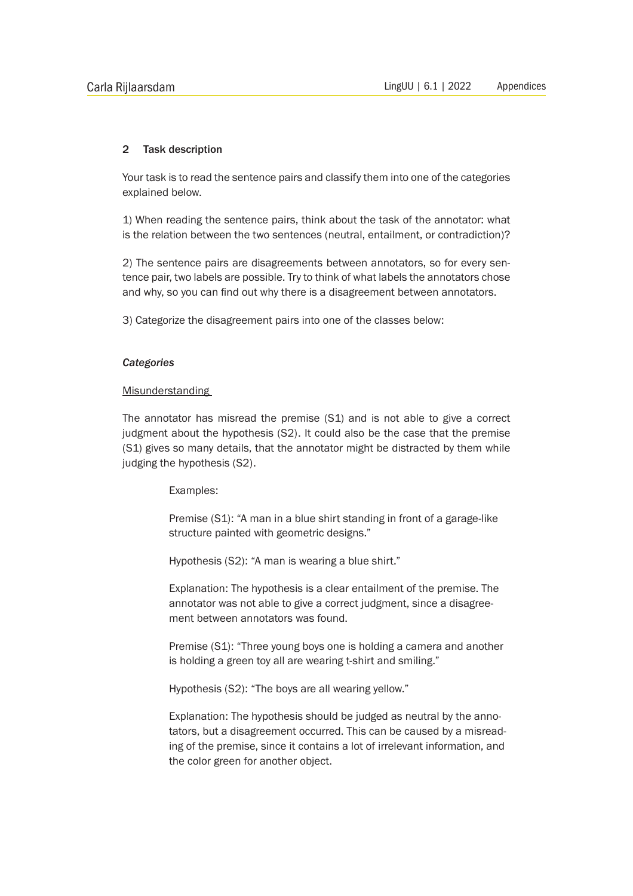## 2 Task description

Your task is to read the sentence pairs and classify them into one of the categories explained below.

1) When reading the sentence pairs, think about the task of the annotator: what is the relation between the two sentences (neutral, entailment, or contradiction)?

2) The sentence pairs are disagreements between annotators, so for every sentence pair, two labels are possible. Try to think of what labels the annotators chose and why, so you can find out why there is a disagreement between annotators.

3) Categorize the disagreement pairs into one of the classes below:

### *Categories*

## Misunderstanding

The annotator has misread the premise (S1) and is not able to give a correct judgment about the hypothesis (S2). It could also be the case that the premise (S1) gives so many details, that the annotator might be distracted by them while judging the hypothesis (S2).

Examples:

 Premise (S1): "A man in a blue shirt standing in front of a garage-like structure painted with geometric designs."

Hypothesis (S2): "A man is wearing a blue shirt."

 Explanation: The hypothesis is a clear entailment of the premise. The annotator was not able to give a correct judgment, since a disagree ment between annotators was found.

 Premise (S1): "Three young boys one is holding a camera and another is holding a green toy all are wearing t-shirt and smiling."

Hypothesis (S2): "The boys are all wearing yellow."

 Explanation: The hypothesis should be judged as neutral by the anno tators, but a disagreement occurred. This can be caused by a misread ing of the premise, since it contains a lot of irrelevant information, and the color green for another object.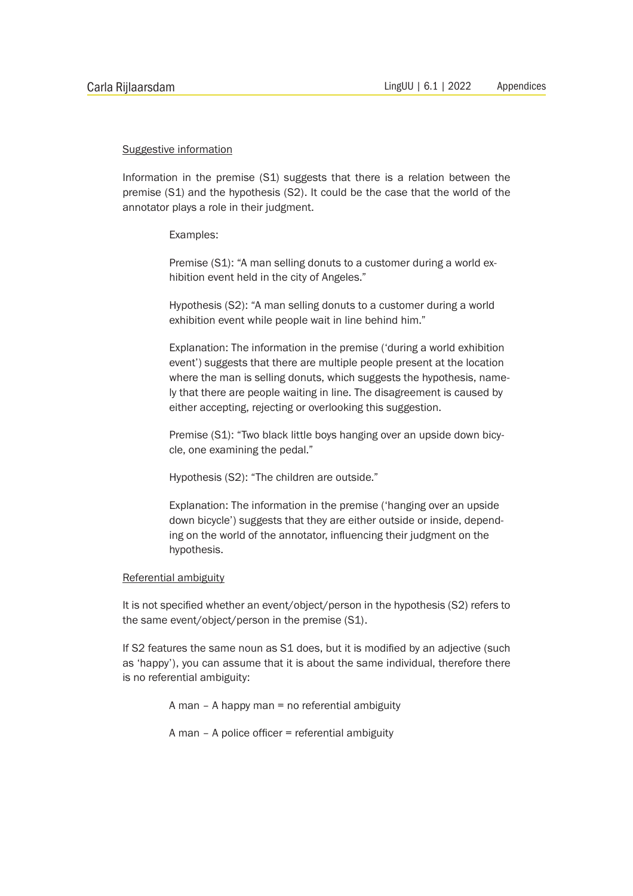#### Suggestive information

Information in the premise (S1) suggests that there is a relation between the premise (S1) and the hypothesis (S2). It could be the case that the world of the annotator plays a role in their judgment.

Examples:

Premise (S1): "A man selling donuts to a customer during a world exhibition event held in the city of Angeles."

 Hypothesis (S2): "A man selling donuts to a customer during a world exhibition event while people wait in line behind him."

 Explanation: The information in the premise ('during a world exhibition event') suggests that there are multiple people present at the location where the man is selling donuts, which suggests the hypothesis, name ly that there are people waiting in line. The disagreement is caused by either accepting, rejecting or overlooking this suggestion.

 Premise (S1): "Two black little boys hanging over an upside down bicy cle, one examining the pedal."

Hypothesis (S2): "The children are outside."

 Explanation: The information in the premise ('hanging over an upside down bicycle') suggests that they are either outside or inside, depend ing on the world of the annotator, influencing their judgment on the hypothesis.

#### Referential ambiguity

It is not specified whether an event/object/person in the hypothesis (S2) refers to the same event/object/person in the premise (S1).

If S2 features the same noun as S1 does, but it is modified by an adjective (such as 'happy'), you can assume that it is about the same individual, therefore there is no referential ambiguity:

A man – A happy man = no referential ambiguity

A man – A police officer = referential ambiguity